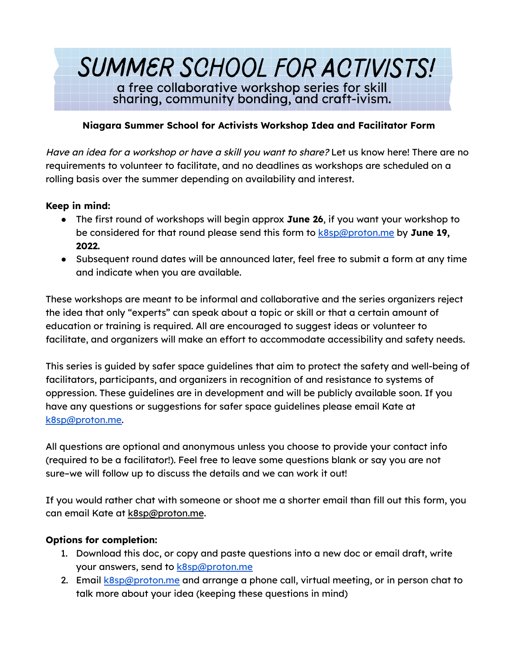# SUMMER SCHOOL FOR ACTIVISTS! a free collaborative workshop series for skill sharing, community bonding, and craft-ivism.

### **Niagara Summer School for Activists Workshop Idea and Facilitator Form**

Have an idea for a workshop or have a skill you want to share? Let us know here! There are no requirements to volunteer to facilitate, and no deadlines as workshops are scheduled on a rolling basis over the summer depending on availability and interest.

#### **Keep in mind:**

- The first round of workshops will begin approx **June 26**, if you want your workshop to be considered for that round please send this form to [k8sp@proton.me](mailto:k8sp@proton.me) by **June 19, 2022.**
- Subsequent round dates will be announced later, feel free to submit a form at any time and indicate when you are available.

These workshops are meant to be informal and collaborative and the series organizers reject the idea that only "experts" can speak about a topic or skill or that a certain amount of education or training is required. All are encouraged to suggest ideas or volunteer to facilitate, and organizers will make an effort to accommodate accessibility and safety needs.

This series is guided by safer space guidelines that aim to protect the safety and well-being of facilitators, participants, and organizers in recognition of and resistance to systems of oppression. These guidelines are in development and will be publicly available soon. If you have any questions or suggestions for safer space guidelines please email Kate at [k8sp@proton.me.](mailto:k8sp@proton.me)

All questions are optional and anonymous unless you choose to provide your contact info (required to be a facilitator!). Feel free to leave some questions blank or say you are not sure–we will follow up to discuss the details and we can work it out!

If you would rather chat with someone or shoot me a shorter email than fill out this form, you can email Kate at k8sp@proton.me.

#### **Options for completion:**

- 1. Download this doc, or copy and paste questions into a new doc or email draft, write your answers, send to **[k8sp@proton.me](mailto:k8sp@proton.me)**
- 2. Email [k8sp@proton.me](mailto:k8sp@proton.me) and arrange a phone call, virtual meeting, or in person chat to talk more about your idea (keeping these questions in mind)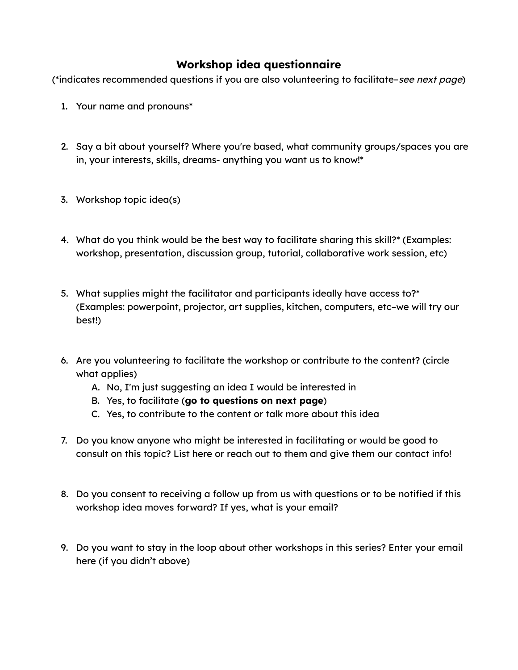## **Workshop idea questionnaire**

(\*indicates recommended questions if you are also volunteering to facilitate–see next page)

- 1. Your name and pronouns\*
- 2. Say a bit about yourself? Where you're based, what community groups/spaces you are in, your interests, skills, dreams- anything you want us to know!\*
- 3. Workshop topic idea(s)
- 4. What do you think would be the best way to facilitate sharing this skill?\* (Examples: workshop, presentation, discussion group, tutorial, collaborative work session, etc)
- 5. What supplies might the facilitator and participants ideally have access to?\* (Examples: powerpoint, projector, art supplies, kitchen, computers, etc–we will try our best!)
- 6. Are you volunteering to facilitate the workshop or contribute to the content? (circle what applies)
	- A. No, I'm just suggesting an idea I would be interested in
	- B. Yes, to facilitate (**go to questions on next page**)
	- C. Yes, to contribute to the content or talk more about this idea
- 7. Do you know anyone who might be interested in facilitating or would be good to consult on this topic? List here or reach out to them and give them our contact info!
- 8. Do you consent to receiving a follow up from us with questions or to be notified if this workshop idea moves forward? If yes, what is your email?
- 9. Do you want to stay in the loop about other workshops in this series? Enter your email here (if you didn't above)